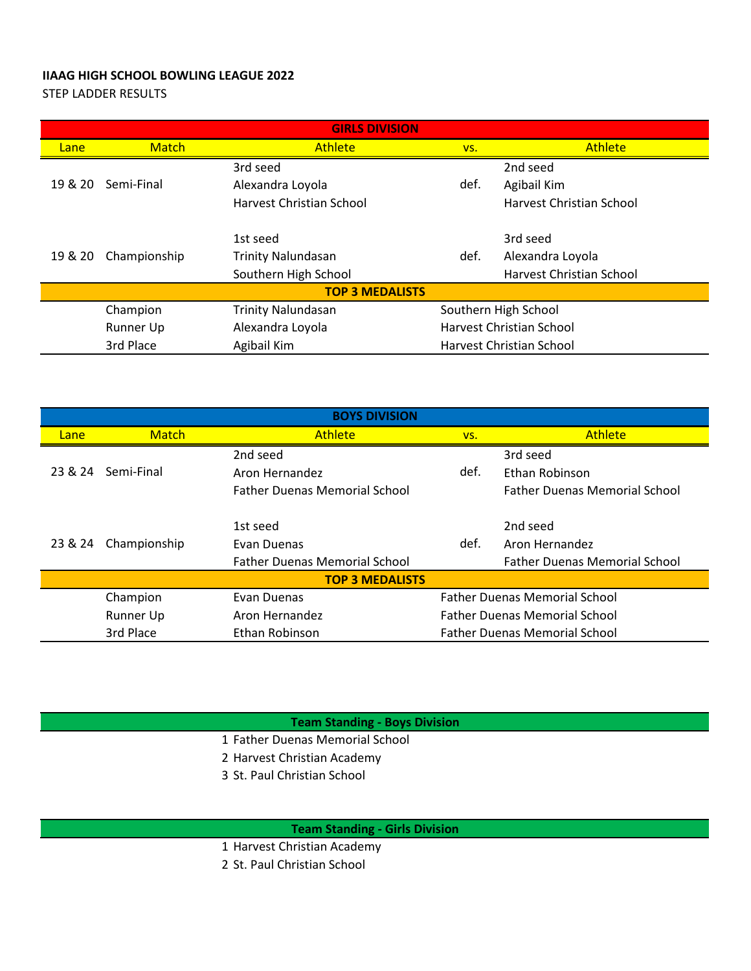## **IIAAG HIGH SCHOOL BOWLING LEAGUE 2022**

STEP LADDER RESULTS

| <b>GIRLS DIVISION</b>  |                  |                                 |                                 |                          |  |  |  |  |
|------------------------|------------------|---------------------------------|---------------------------------|--------------------------|--|--|--|--|
| Lane                   | <b>Match</b>     | <b>Athlete</b>                  | VS.                             | <b>Athlete</b>           |  |  |  |  |
|                        |                  | 3rd seed                        |                                 | 2nd seed                 |  |  |  |  |
| 19 & 20                | Semi-Final       | Alexandra Loyola                | def.                            | Agibail Kim              |  |  |  |  |
|                        |                  | <b>Harvest Christian School</b> |                                 | Harvest Christian School |  |  |  |  |
|                        |                  | 1st seed                        |                                 | 3rd seed                 |  |  |  |  |
| 19 & 20                | Championship     | <b>Trinity Nalundasan</b>       | def.                            | Alexandra Loyola         |  |  |  |  |
|                        |                  | Southern High School            |                                 | Harvest Christian School |  |  |  |  |
| <b>TOP 3 MEDALISTS</b> |                  |                                 |                                 |                          |  |  |  |  |
|                        | Champion         | <b>Trinity Nalundasan</b>       | Southern High School            |                          |  |  |  |  |
|                        | <b>Runner Up</b> | Alexandra Loyola                | <b>Harvest Christian School</b> |                          |  |  |  |  |
|                        | 3rd Place        | Agibail Kim                     | Harvest Christian School        |                          |  |  |  |  |

| <b>BOYS DIVISION</b>   |              |                                                     |                                      |                                      |  |  |  |  |
|------------------------|--------------|-----------------------------------------------------|--------------------------------------|--------------------------------------|--|--|--|--|
| Lane                   | <b>Match</b> | <b>Athlete</b>                                      | VS.                                  | <b>Athlete</b>                       |  |  |  |  |
|                        |              | 2nd seed                                            |                                      | 3rd seed                             |  |  |  |  |
| 23 & 24                | Semi-Final   | Aron Hernandez                                      | def.                                 | Ethan Robinson                       |  |  |  |  |
|                        |              | <b>Father Duenas Memorial School</b>                |                                      | <b>Father Duenas Memorial School</b> |  |  |  |  |
|                        | Championship | 1st seed                                            |                                      | 2nd seed                             |  |  |  |  |
| 23 & 24                |              | Evan Duenas                                         | def.                                 | Aron Hernandez                       |  |  |  |  |
|                        |              | <b>Father Duenas Memorial School</b>                |                                      | <b>Father Duenas Memorial School</b> |  |  |  |  |
| <b>TOP 3 MEDALISTS</b> |              |                                                     |                                      |                                      |  |  |  |  |
|                        | Champion     | <b>Father Duenas Memorial School</b><br>Evan Duenas |                                      |                                      |  |  |  |  |
|                        | Runner Up    | Aron Hernandez                                      | <b>Father Duenas Memorial School</b> |                                      |  |  |  |  |
|                        | 3rd Place    | Ethan Robinson                                      | <b>Father Duenas Memorial School</b> |                                      |  |  |  |  |

**Team Standing - Boys Division**

- 1 Father Duenas Memorial School
- 2 Harvest Christian Academy
- 3 St. Paul Christian School

**Team Standing - Girls Division**

- 1 Harvest Christian Academy
- 2 St. Paul Christian School